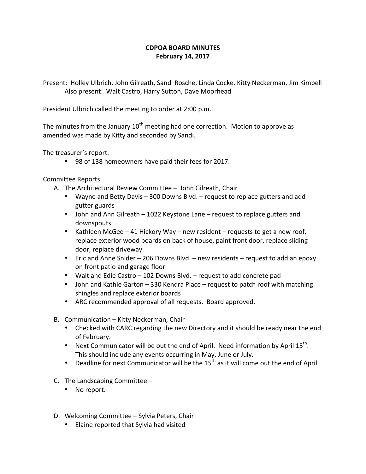## **CDPOA BOARD MINUTES February 14, 2017**

Present: Holley Ulbrich, John Gilreath, Sandi Rosche, Linda Cocke, Kitty Neckerman, Jim Kimbell Also present: Walt Castro, Harry Sutton, Dave Moorhead

President Ulbrich called the meeting to order at 2:00 p.m.

The minutes from the January  $10^{th}$  meeting had one correction. Motion to approve as amended was made by Kitty and seconded by Sandi.

The treasurer's report.

• 98 of 138 homeowners have paid their fees for 2017.

Committee Reports

- A. The Architectural Review Committee John Gilreath, Chair
	- Wayne and Betty Davis 300 Downs Blvd. request to replace gutters and add gutter guards
	- John and Ann Gilreath 1022 Keystone Lane request to replace gutters and downspouts
	- Kathleen McGee 41 Hickory Way new resident requests to get a new roof, replace exterior wood boards on back of house, paint front door, replace sliding door, replace driveway
	- Eric and Anne Snider 206 Downs Blvd. new residents request to add an epoxy on front patio and garage floor
	- Walt and Edie Castro  $-102$  Downs Blvd.  $-$  request to add concrete pad
	- John and Kathie Garton 330 Kendra Place request to patch roof with matching shingles and replace exterior boards
	- ARC recommended approval of all requests. Board approved.
- B. Communication Kitty Neckerman, Chair
	- Checked with CARC regarding the new Directory and it should be ready near the end of February.
	- Next Communicator will be out the end of April. Need information by April  $15^{th}$ . This should include any events occurring in May, June or July.
	- Deadline for next Communicator will be the  $15<sup>th</sup>$  as it will come out the end of April.
- C. The Landscaping Committee  $-$ 
	- No report.
- D. Welcoming Committee Sylvia Peters, Chair
	- Elaine reported that Sylvia had visited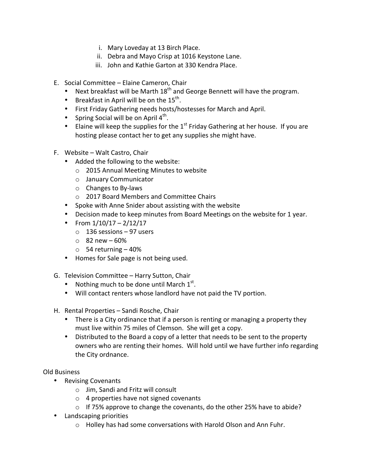- i. Mary Loveday at 13 Birch Place.
- ii. Debra and Mayo Crisp at 1016 Keystone Lane.
- iii. John and Kathie Garton at 330 Kendra Place.
- E. Social Committee Elaine Cameron, Chair
	- Next breakfast will be Marth  $18^{th}$  and George Bennett will have the program.
	- Breakfast in April will be on the  $15^{th}$ .
	- First Friday Gathering needs hosts/hostesses for March and April.
	- Spring Social will be on April  $4<sup>th</sup>$ .
	- Elaine will keep the supplies for the  $1^{st}$  Friday Gathering at her house. If you are hosting please contact her to get any supplies she might have.
- F. Website Walt Castro, Chair
	- Added the following to the website:
		- o 2015 Annual Meeting Minutes to website
		- o January Communicator
		- $\circ$  Changes to By-laws
		- o 2017 Board Members and Committee Chairs
	- Spoke with Anne Snider about assisting with the website
	- Decision made to keep minutes from Board Meetings on the website for 1 year.
	- From  $1/10/17 2/12/17$ 
		- $\circ$  136 sessions 97 users
		- $\circ$  82 new 60%
		- $\circ$  54 returning  $-40\%$
	- Homes for Sale page is not being used.
- G. Television Committee Harry Sutton, Chair
	- Nothing much to be done until March  $1^{st}$ .
	- Will contact renters whose landlord have not paid the TV portion.
- H. Rental Properties Sandi Rosche, Chair
	- There is a City ordinance that if a person is renting or managing a property they must live within 75 miles of Clemson. She will get a copy.
	- Distributed to the Board a copy of a letter that needs to be sent to the property owners who are renting their homes. Will hold until we have further info regarding the City ordnance.

## Old Business

- Revising Covenants
	- $\circ$  Jim, Sandi and Fritz will consult
	- $\circ$  4 properties have not signed covenants
	- $\circ$  If 75% approve to change the covenants, do the other 25% have to abide?
- Landscaping priorities
	- $\circ$  Holley has had some conversations with Harold Olson and Ann Fuhr.